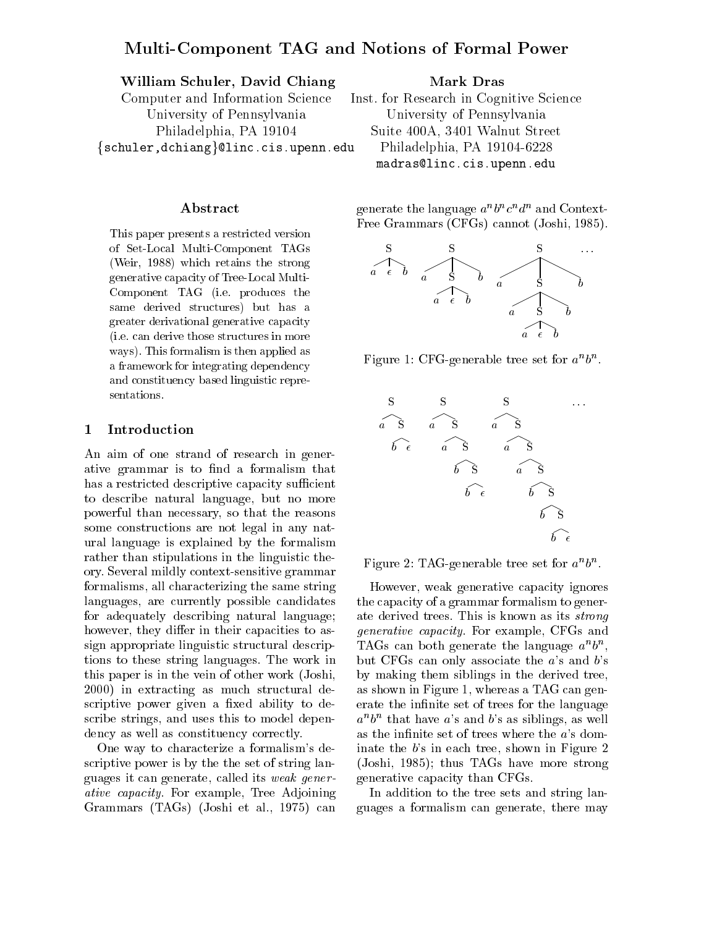# Multi-Component TAG and Notions of Formal Power

# William Schuler, David Chiang

Computer and Information Science University of Pennsylvania Philadelphia, PA 19104 {schuler,dchiang}@linc.cis.upenn.edu

# Abstract

This paper presents a restricted version of Set-Local Multi-Component TAGs (Weir, 1988) which retains the strong generative capacity of Tree-Local Multi-Component TAG (i.e. produces the same derived structures) but has a greater derivational generative capacity (i.e. can derive those structures in more ways). This formalism is then applied as a framework for integrating dependency and constituency based linguistic representations.

### 1 Introduction

An aim of one strand of research in generative grammar is to find a formalism that has a restricted descriptive capacity sufficient to describe natural language, but no more powerful than necessary, so that the reasons some constructions are not legal in any natural language is explained by the formalism rather than stipulations in the linguistic theory. Several mildly context-sensitive grammar formalisms, all characterizing the same string languages, are currently possible candidates for adequately describing natural language; however, they differ in their capacities to assign appropriate linguistic structural descriptions to these string languages. The work in this paper is in the vein of other work (Joshi, 2000) in extracting as much structural descriptive power given a fixed ability to describe strings, and uses this to model dependency as well as constituency correctly.

One way to characterize a formalism's descriptive power is by the the set of string languages it can generate, called its weak generative capacity. For example, Tree Adjoining Grammars (TAGs) (Joshi et al., 1975) can Mark Dras

Inst. for Research in Cognitive Science University of Pennsylvania Suite 400A, 3401 Walnut Street Philadelphia, PA 19104-6228 madras@linc.cis.upenn.edu

generate the language  $a \circ c \circ a \circ$  and Context-Free Grammars (CFGs) cannot (Joshi, 1985).



Figure 1: CFG-generable tree set for  $a^{\alpha}b^{\alpha}$ .





However, weak generative capacity ignores the capacity of a grammar formalism to generate derived trees. This is known as its strong generative capacity. For example, CFGs and TAGs can both generate the language  $a^{\dagger}b^{\dagger}$ . but CFGs can only associate the  $a$ 's and  $b$ 's by making them siblings in the derived tree, as shown in Figure 1, whereas a TAG can generate the infinite set of trees for the language  $a^n b^n$  that have a's and b's as siblings, as well as the infinite set of trees where the  $a$ 's dominate the b's in each tree, shown in Figure 2 (Joshi, 1985); thus TAGs have more strong generative capacity than CFGs.

In addition to the tree sets and string languages a formalism can generate, there may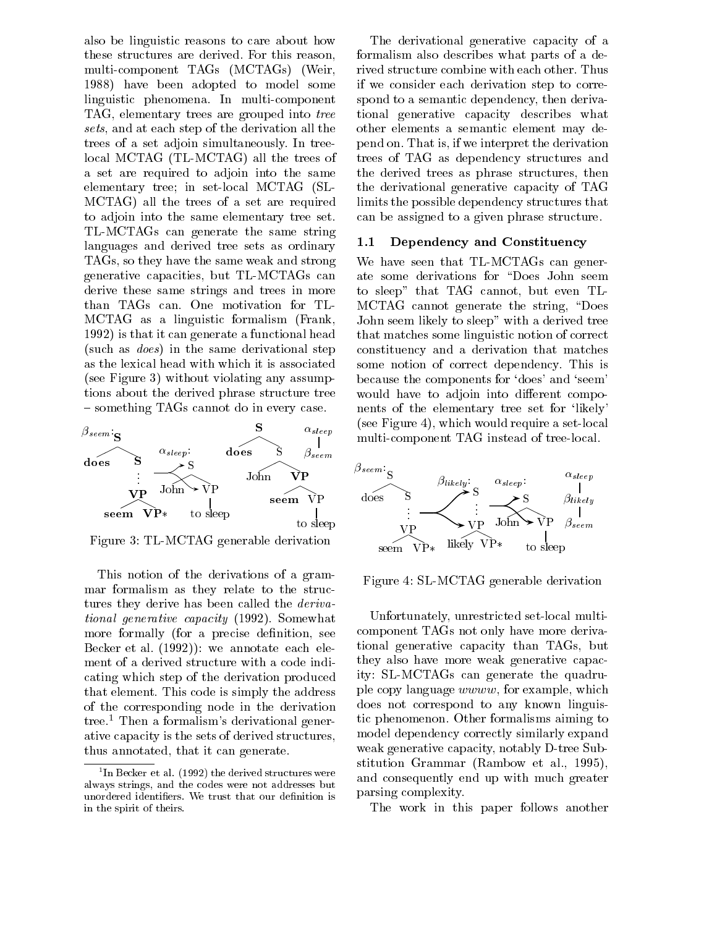also be linguistic reasons to care about how these structures are derived. For this reason, multi-component TAGs (MCTAGs) (Weir, 1988) have been adopted to model some linguistic phenomena. In multi-component TAG, elementary trees are grouped into tree sets, and at each step of the derivation all the trees of a set adjoin simultaneously. In treelocal MCTAG (TL-MCTAG) all the trees of a set are required to adjoin into the same elementary tree; in set-local MCTAG (SL-MCTAG) all the trees of a set are required to adjoin into the same elementary tree set. TL-MCTAGs can generate the same string languages and derived tree sets as ordinary TAGs, so they have the same weak and strong generative capacities, but TL-MCTAGs can derive these same strings and trees in more than TAGs can. One motivation for TL-MCTAG as a linguistic formalism (Frank, 1992) is that it can generate a functional head (such as does) in the same derivational step as the lexical head with which it is associated (see Figure 3) without violating any assumptions about the derived phrase structure tree  $=$  something TAGs cannot do in every case.



Figure 3: TL-MCTAG generable derivation

This notion of the derivations of a grammar formalism as they relate to the structures they derive has been called the *deriva*tional generative capacity (1992). Somewhat more formally (for a precise definition, see Becker et al. (1992)): we annotate each element of a derived structure with a code indicating which step of the derivation produced that element. This code is simply the address of the corresponding node in the derivation tree.<sup>1</sup> Then a formalism's derivational generative capacity is the sets of derived structures, thus annotated, that it can generate.

The derivational generative capacity of a formalism also describes what parts of a derived structure combine with each other. Thus if we consider each derivation step to correspond to a semantic dependency, then derivational generative capacity describes what other elements a semantic element may depend on. That is, if we interpret the derivation trees of TAG as dependency structures and the derived trees as phrase structures, then the derivational generative capacity of TAG limits the possible dependency structures that can be assigned to a given phrase structure.

### 1.1 Dependency and Constituency

We have seen that TL-MCTAGs can generate some derivations for "Does John seem to sleep" that TAG cannot, but even TL-MCTAG cannot generate the string, "Does" John seem likely to sleep" with a derived tree that matches some linguistic notion of correct constituency and a derivation that matches some notion of correct dependency. This is because the components for `does' and `seem' would have to adjoin into different components of the elementary tree set for 'likely' (see Figure 4), which would require a set-local multi-component TAG instead of tree-local.



Figure 4: SL-MCTAG generable derivation

Unfortunately, unrestricted set-local multicomponent TAGs not only have more derivational generative capacity than TAGs, but they also have more weak generative capacity: SL-MCTAGs can generate the quadruple copy language wwww, for example, which does not correspond to any known linguistic phenomenon. Other formalisms aiming to model dependency correctly similarly expand weak generative capacity, notably D-tree Substitution Grammar (Rambow et al.,1995), and consequently end up with much greater parsing complexity.

The work in this paper follows another

 $\lceil$  In Becker et al. (1992) the derived structures were  $\lceil$ always strings, and the codes were not addresses but unordered identifiers. We trust that our definition is in the spirit of theirs.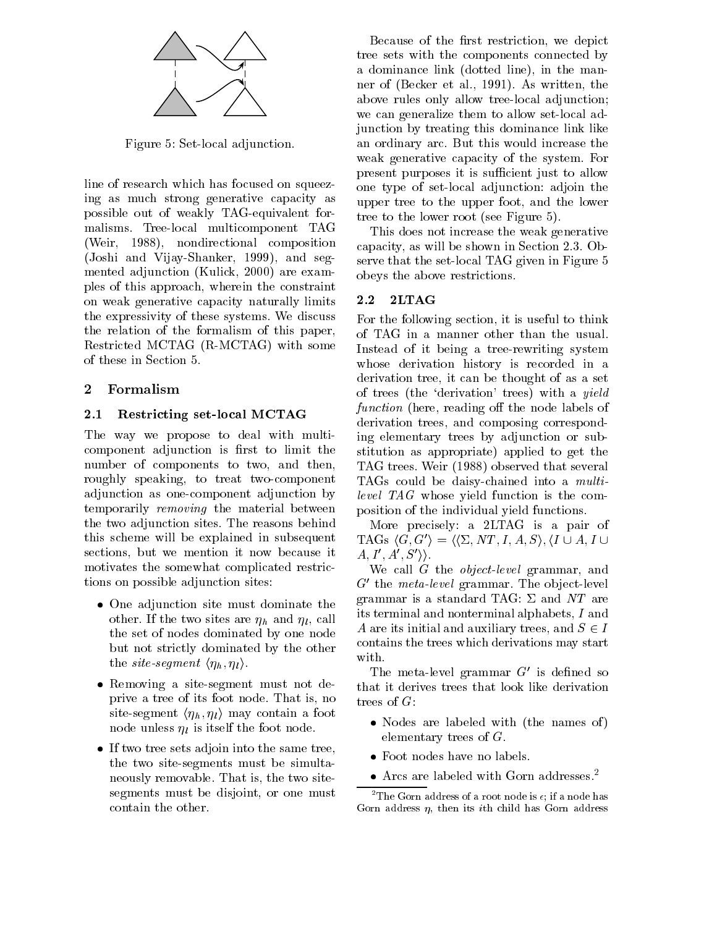

Figure 5: Set-local adjunction.

line of research which has focused on squeezing as much strong generative capacity as possible out of weakly TAG-equivalent formalisms. Tree-local multicomponent TAG (Weir, 1988), nondirectional composition (Joshi and Vijay-Shanker, 1999), and segmented adjunction (Kulick, 2000) are examples of this approach, wherein the constraint on weak generative capacity naturally limits 2.2 the expressivity of these systems. We discuss the relation of the formalism of this paper, Restricted MCTAG (R-MCTAG) with some of these in Section 5.

# 2 Formalism

# 2.1 Restricting set-local MCTAG

The way we propose to deal with multicomponent adjunction is first to limit the number of components to two, and then, roughly speaking, to treat two-component adjunction as one-component adjunction by temporarily removing the material between the two adjunction sites. The reasons behind this scheme will be explained in subsequent sections, but we mention it now because it motivates the somewhat complicated restrictions on possible adjunction sites:

- $\bullet$  One adjunction site must dominate the  $\circ$ other. If the two sites are  $\eta_h$  and  $\eta_l$ , call the set of nodes dominated by one node but not strictly dominated by the other the *site-segment*  $\langle \eta_h, \eta_l \rangle$ .
- $\bullet$  Kemoving a site-segment must not deprive a tree of its foot node. That is, no trees of  $G$ : site-segment  $\langle \eta_h, \eta_l \rangle$  may contain a foot node unless  $\eta_l$  is itself the foot node.
- $\bullet$  If two tree sets adjoin into the same tree, the two site-segments must be simultaneously removable. That is, the two sitesegments must be disjoint, or one must contain the other.

Because of the first restriction, we depict tree sets with the components connected by a dominance link (dotted line), in the manner of (Becker et al., 1991). As written, the above rules only allow tree-local adjunction; we can generalize them to allow set-local adjunction by treating this dominance link like an ordinary arc. But this would increase the weak generative capacity of the system. For present purposes it is sufficient just to allow one type of set-local adjunction: adjoin the upper tree to the upper foot, and the lower tree to the lower root (see Figure 5).

This does not increase the weak generative capacity, as will be shown in Section 2.3. Observe that the set-local TAG given in Figure 5 obeys the above restrictions.

# $2LTAG$

For the following section, it is useful to think of TAG in a manner other than the usual. Instead of it being a tree-rewriting system whose derivation history is recorded in a derivation tree, it can be thought of as a set of trees (the `derivation' trees) with a yield function (here, reading off the node labels of derivation trees, and composing corresponding elementary trees by adjunction or substitution as appropriate) applied to get the TAG trees. Weir (1988) observed that several TAGs could be daisy-chained into a multilevel TAG whose yield function is the composition of the individual yield functions.

More precisely: a 2LTAG is a pair of TAGs  $\langle G, G' \rangle = \langle \langle \Sigma, NT, I, A, S \rangle, \langle I \cup A, I \cup$  $A, I', A', S' \rangle.$ 

We call G the *object-level* grammar, and  $G<sup>t</sup>$  the meta-level grammar. The object-level grammar is a standard TAG:  $\Sigma$  and NT are its terminal and nonterminal alphabets, I and A are its initial and auxiliary trees, and  $S \in I$ contains the trees which derivations may start with.

The meta-level grammar  $G'$  is defined so that it derives trees that look like derivation

- $\bullet$  Nodes are labeled with (the names of)  $\hspace{0.1mm}$ elementary trees of G.
- Foot nodes have no labels.
- $\bullet$  Arcs are labeled with Gorn addresses. $\tilde{\phantom{a}}$

<sup>&</sup>lt;sup>2</sup>The Gorn address of a root node is  $\epsilon$ ; if a node has Gorn address  $\eta$ , then its *i*th child has Gorn address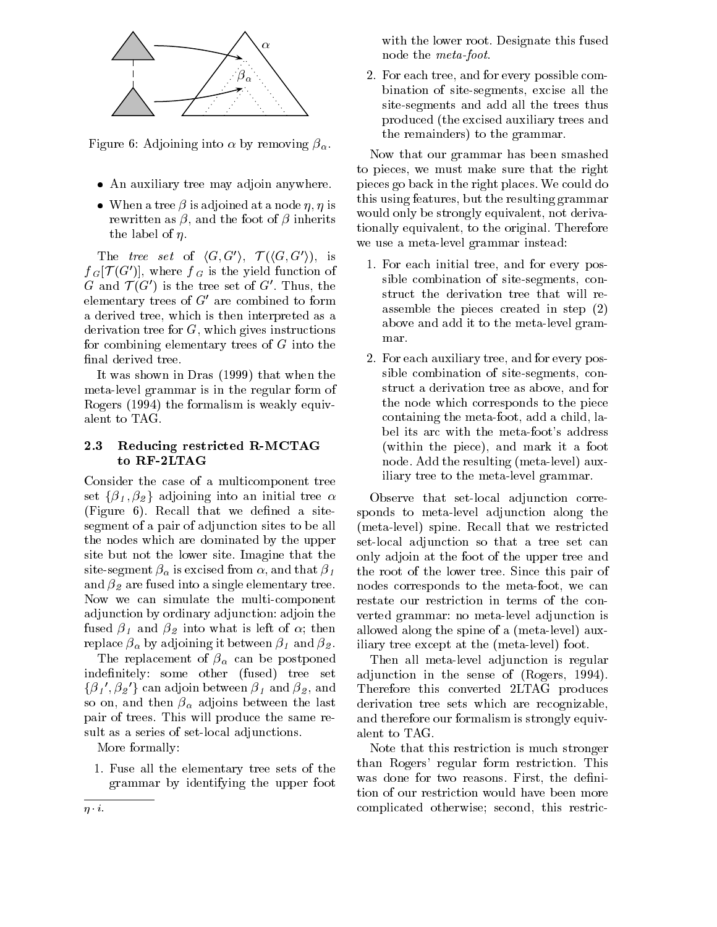

Figure 6: Adjoining into  $\alpha$  by removing  $\beta_{\alpha}$ .

- An auxiliary tree may adjoin anywhere.
- $\bullet\;$  When a tree  $\beta$  is adjoined at a node  $\eta,\,\eta$  is rewritten as  $\beta$ , and the foot of  $\beta$  inherits the label of  $\eta$ .

The tree set of  $\langle G, G' \rangle$ ,  $\mathcal{T}(\langle G, G' \rangle)$ , is  $f_{G}[\mathcal{T}(G')]$ , where  $f_{G}$  is the yield function of G and  $\mathcal{T}(G')$  is the tree set of G'. Thus, the elementary trees of  $G'$  are combined to form a derived tree, which is then interpreted as a derivation tree for G, which gives instructions for combining elementary trees of G into the final derived tree.

It was shown in Dras (1999) that when the meta-level grammar is in the regular form of Rogers (1994) the formalism is weakly equivalent to TAG.

#### $2.3$ Reducing restricted R-MCTAG to RF-2LTAG

Consider the case of a multicomponent tree set  $\{\beta_1, \beta_2\}$  adjoining into an initial tree  $\alpha$  $(Figure 6)$ . Recall that we defined a sitesegment of a pair of adjunction sites to be all the nodes which are dominated by the upper site but not the lower site. Imagine that the site-segment  $\beta_{\alpha}$  is excised from  $\alpha$ , and that  $\beta_1$ and  $\beta_2$  are fused into a single elementary tree. Now we can simulate the multi-component adjunction by ordinary adjunction: adjoin the fused  $\beta_1$  and  $\beta_2$  into what is left of  $\alpha$ ; then replace  $\beta_{\alpha}$  by adjoining it between  $\beta_1$  and  $\beta_2$ .

The replacement of  $\beta_{\alpha}$  can be postponed indefinitely: some other (fused) tree set  $\{\beta_1{}', \beta_2{}'\}$  can adjoin between  $\beta_1$  and  $\beta_2,$  and There so on, and then  $\beta_{\alpha}$  adjoins between the last pair of trees. This will produce the same result as a series of set-local adjunctions.

More formally:

1. Fuse all the elementary tree sets of the grammar by identifying the upper foot with the lower root. Designate this fused node the meta-foot.

2. For each tree, and for every possible combination of site-segments, excise all the site-segments and add all the trees thus produced (the excised auxiliary trees and the remainders) to the grammar.

Now that our grammar has been smashed to pieces, we must make sure that the right pieces go back in the right places. We could do this using features, but the resulting grammar would only be strongly equivalent, not derivationally equivalent, to the original. Therefore we use a meta-level grammar instead:

- 1. For each initial tree, and for every possible combination of site-segments, construct the derivation tree that will reassemble the pieces created in step (2) above and add it to the meta-level grammar.
- 2. For each auxiliary tree, and for every possible combination of site-segments, construct a derivation tree as above, and for the node which corresponds to the piece containing the meta-foot, add a child, label its arc with the meta-foot's address (within the piece), and mark it a foot node. Add the resulting (meta-level) auxiliary tree to the meta-level grammar.

Observe that set-local adjunction corresponds to meta-level adjunction along the (meta-level) spine. Recall that we restricted set-local adjunction so that a tree set can only adjoin at the foot of the upper tree and the root of the lower tree. Since this pair of nodes corresponds to the meta-foot, we can restate our restriction in terms of the converted grammar: no meta-level adjunction is allowed along the spine of a (meta-level) auxiliary tree except at the (meta-level) foot.

Then all meta-level adjunction is regular adjunction in the sense of (Rogers, 1994). Therefore this converted 2LTAG produces derivation tree sets which are recognizable, and therefore our formalism is strongly equivalent to TAG.

Note that this restriction is much stronger than Rogers' regular form restriction. This was done for two reasons. First, the definition of our restriction would have been more complicated otherwise; second, this restric-

 $\eta$  *i*.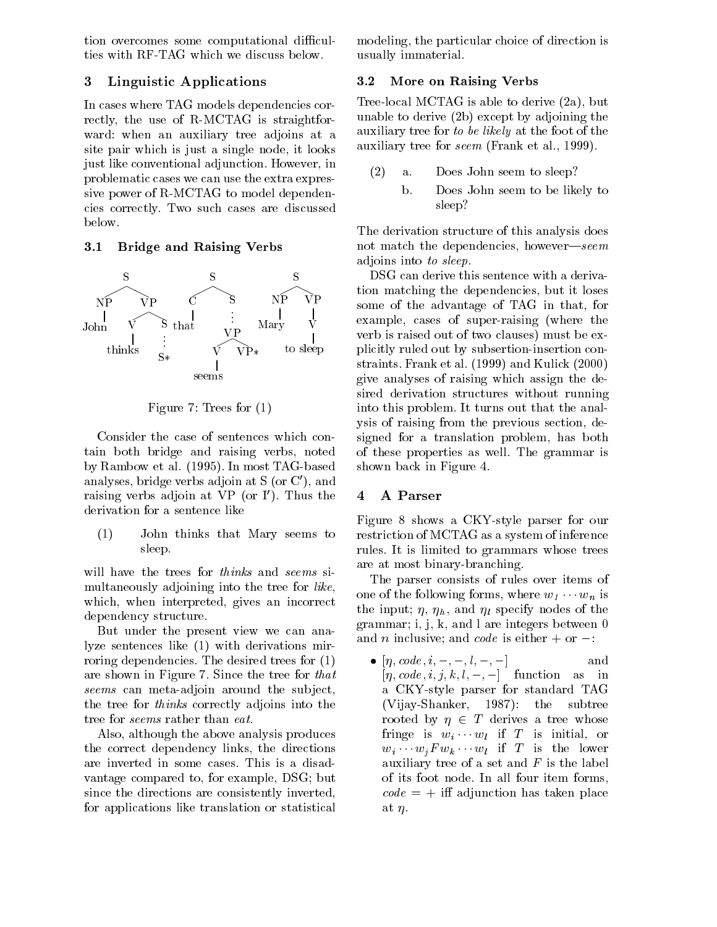tion overcomes some computational difficulties with RF-TAG which we discuss below.

# 3 Linguistic Applications

In cases where TAG models dependencies correctly, the use of R-MCTAG is straightforward: when an auxiliary tree adjoins at a site pair which is just a single node, it looks just like conventional adjunction. However, in problematic cases we can use the extra expressive power of R-MCTAG to model dependencies correctly. Two such cases are discussed below.

### 3.1 Bridge and Raising Verbs



Figure 7: Trees for (1)

Consider the case of sentences which contain both bridge and raising verbs, noted by Rambow et al. (1995). In most TAG-based analyses, bridge verbs adjoin at  $S$  (or  $C'$ ), and raising verbs adjoin at VP (or I). Thus the 4 derivation for a sentence like

(1) John thinks that Mary seems to sleep.

will have the trees for *thinks* and *seems* simultaneously adjoining into the tree for like, which, when interpreted, gives an incorrect dependency structure.

But under the present view we can analyze sentences like (1) with derivations mirroring dependencies. The desired trees for (1) are shown in Figure 7. Since the tree for that seems can meta-adjoin around the subject, the tree for thinks correctly adjoins into the tree for seems rather than eat.

Also, although the above analysis produces the correct dependency links, the directions are inverted in some cases. This is a disadvantage compared to, for example, DSG; but since the directions are consistently inverted, for applications like translation or statistical

modeling, the particular choice of direction is usually immaterial.

### 3.2 More on Raising Verbs

Tree-local MCTAG is able to derive (2a), but unable to derive (2b) except by adjoining the auxiliary tree for to be likely at the foot of the auxiliary tree for seem (Frank et al., 1999).

- a. Does John seem to sleep?
	- b. Does John seem to be likely to sleep?

The derivation structure of this analysis does not match the dependencies, however—seem adjoins into to sleep.

some of the advantage of TAG in that, for DSG can derive this sentence with a derivation matching the dependencies, but it loses example, cases of super-raising (where the verb is the clause out of two classical control of two classics of the explicitly ruled out by subsertion-insertion constraints. Frank et al. (1999) and Kulick (2000) give analyses of raising which assign the desired derivation structures without running into this problem. It turns out that the analysis of raising from the previous section, designed for a translation problem, has both of these properties as well. The grammar is shown back in Figure 4.

# 4 A Parser

Figure 8 shows a CKY-style parser for our restriction of MCTAG as a system of inference rules. It is limited to grammars whose trees are at most binary-branching.

The parser consists of rules over items of one of the following forms, where  $w_1 \cdots w_n$  is the input;  $\eta$ ,  $\eta_h$ , and  $\eta_l$  specify nodes of the grammar; i, j, k, and l are integers between 0 and *n* inclusive; and *code* is either  $+$  or  $-$ .

•  $\eta, coae, i, -, -, i, -, -1$  and  $[\eta, code, i, j, k, l, -, -]$  function as in a CKY-style parser for standard TAG (Vijay-Shanker, 1987): the subtree rooted by  $\eta \in T$  derives a tree whose fringe is  $w_i \cdots w_l$  if T is initial, or  $w_i \cdots w_j F w_k \cdots w_l$  if T is the lower auxiliary tree of a set and  $F$  is the label of its foot node. In all four item forms,  $code = +$  iff adjunction has taken place at  $n$ .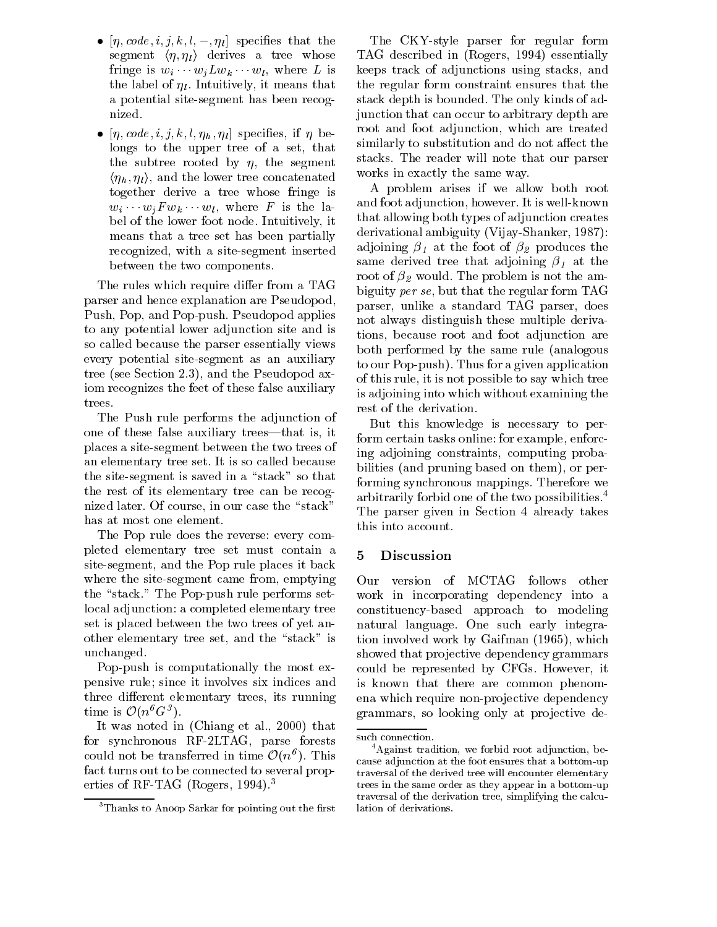- $\bullet$   $|\eta ,code ,_{\ell },u ,_{\ell },\kappa ,_{\ell },-\eta _{\ell }|$  specifies that the  $1$ segment  $\langle \eta, \eta_l \rangle$  derives a tree whose fringe is  $w_i \cdots w_j L w_k \cdots w_l$ , where L is the label of  $\eta_l$ . Intuitively, it means that a potential site-segment has been recognized.
- $\bullet$   $|\eta ,code ,_{\alpha \alpha} e, \imath ,\jmath ,\kappa ,\iota ,\eta _{h} ,\eta _{l} |$  specifies, if  $\eta$  belongs to the upper tree of a set, that the subtree rooted by  $\eta$ , the segment  $\langle \eta_h, \eta_l \rangle$ , and the lower tree concatenated together derive a tree whose fringe is  $w_i \cdots w_j F w_k \cdots w_l$ , where F is the label of the lower foot node. Intuitively, it means that a tree set has been partially recognized, with a site-segment inserted between the two components.

The rules which require differ from a TAG parser and hence explanation are Pseudopod, Push, Pop, and Pop-push. Pseudopod applies to any potential lower adjunction site and is so called because the parser essentially views every potential site-segment as an auxiliary tree (see Section 2.3), and the Pseudopod axiom recognizes the feet of these false auxiliary trees.

The Push rule performs the adjunction of one of these false auxiliary trees—that is, it places a site-segment between the two trees of an elementary tree set. It is so called because the site-segment is saved in a "stack" so that the rest of its elementary tree can be recognized later. Of course, in our case the "stack" has at most one element.

The Pop rule does the reverse: every completed elementary tree set must contain a site-segment, and the Pop rule places it back where the site-segment came from, emptying Our the "stack." The Pop-push rule performs setlocal adjunction: a completed elementary tree set is placed between the two trees of yet another elementary tree set, and the "stack" is unchanged.

Pop-push is computationally the most expensive rule; since it involves six indices and three different elementary trees, its running time is  $\mathcal{O}(n^b G^3)$ .

It was noted in (Chiang et al., 2000) that for synchronous RF-2LTAG, parse forests could not be transferred in time  $\mathcal{O}(n^{\theta})$ . This fact turns out to be connected to several properties of RF-TAG (Rogers, 1994).<sup>3</sup>

The CKY-style parser for regular form TAG described in (Rogers, 1994) essentially keeps track of adjunctions using stacks, and the regular form constraint ensures that the stack depth is bounded. The only kinds of adjunction that can occur to arbitrary depth are root and foot adjunction, which are treated similarly to substitution and do not affect the stacks. The reader will note that our parser works in exactly the same way.

A problem arises if we allow both root and foot adjunction, however. It is well-known that allowing both types of adjunction creates derivational ambiguity (Vijay-Shanker, 1987): adjoining  $\beta_1$  at the foot of  $\beta_2$  produces the same derived tree that adjoining  $\beta_1$  at the root of  $\beta_2$  would. The problem is not the ambiguity per se, but that the regular form TAG parser, unlike a standard TAG parser, does not always distinguish these multiple derivations, because root and foot adjunction are both performed by the same rule (analogous to our Pop-push). Thus for a given application of this rule, it is not possible to say which tree is adjoining into which without examining the rest of the derivation.

But this knowledge is necessary to perform certain tasks online: for example, enforcing adjoining constraints, computing probabilities (and pruning based on them), or performing synchronous mappings. Therefore we arbitrarily forbid one of the two possibilities.4 The parser given in Section 4 already takes this into account.

### **Discussion**

version of MCTAG follows other work in incorporating dependency into a constituency-based approach to modeling natural language. One such early integration involved work by Gaifman (1965), which showed that projective dependency grammars could be represented by CFGs. However, it is known that there are common phenomena which require non-projective dependency grammars, so looking only at projective de-

 $3$ Thanks to Anoop Sarkar for pointing out the first

such connection.

<sup>&</sup>lt;sup>4</sup>Against tradition, we forbid root adjunction, because adjunction at the foot ensures that a bottom-up traversal of the derived tree will encounter elementary trees in the same order as they appear in a bottom-up traversal of the derivation tree, simplifying the calculation of derivations.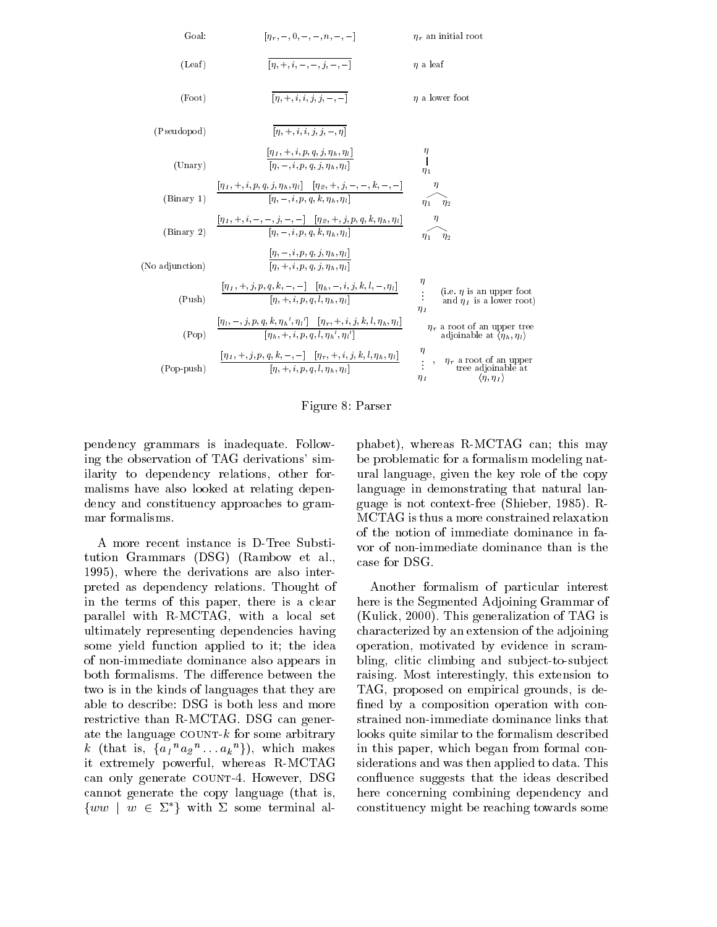

Figure 8: Parser

pendency grammars is inadequate. Following the observation of TAG derivations' similarity to dependency relations, other formalisms have also looked at relating dependency and constituency approaches to grammar formalisms.

A more recent instance is D-Tree Substitution Grammars (DSG) (Rambow et al., 1995), where the derivations are also interpreted as dependency relations. Thought of in the terms of this paper, there is a clear parallel with R-MCTAG, with a local set ultimately representing dependencies having some yield function applied to it; the idea of non-immediate dominance also appears in both formalisms. The difference between the two is in the kinds of languages that they are able to describe: DSG is both less and more restrictive than R-MCTAG. DSG can generate the language  $COUNT-k$  for some arbitrary k (that is,  $\{a_1{}^n a_2{}^n \dots a_k{}^n\}$ ), which makes in it extremely powerful, whereas R-MCTAG can only generate COUNT-4. However, DSG cannot generate the copy language (that is,  $\{ww \mid w \in \Sigma^*\}$  with  $\Sigma$  some terminal al-

phabet), whereas R-MCTAG can; this may be problematic for a formalism modeling natural language, given the key role of the copy language in demonstrating that natural language is not context-free (Shieber, 1985). R-MCTAG is thus a more constrained relaxation of the notion of immediate dominance in favor of non-immediate dominance than is the case for DSG.

Another formalism of particular interest here is the Segmented Adjoining Grammar of (Kulick, 2000). This generalization of TAG is characterized by an extension of the adjoining operation, motivated by evidence in scrambling, clitic climbing and subject-to-subject raising. Most interestingly, this extension to TAG, proposed on empirical grounds, is de fined by a composition operation with constrained non-immediate dominance links that looks quite similar to the formalism described in this paper, which began from formal considerations and was then applied to data. This confluence suggests that the ideas described here concerning combining dependency and constituency might be reaching towards some